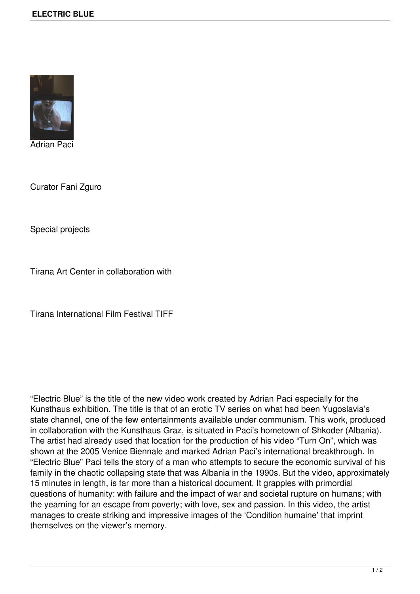

Adrian Paci

Curator Fani Zguro

Special projects

Tirana Art Center in collaboration with

Tirana International Film Festival TIFF

"Electric Blue" is the title of the new video work created by Adrian Paci especially for the Kunsthaus exhibition. The title is that of an erotic TV series on what had been Yugoslavia's state channel, one of the few entertainments available under communism. This work, produced in collaboration with the Kunsthaus Graz, is situated in Paci's hometown of Shkoder (Albania). The artist had already used that location for the production of his video "Turn On", which was shown at the 2005 Venice Biennale and marked Adrian Paci's international breakthrough. In "Electric Blue" Paci tells the story of a man who attempts to secure the economic survival of his family in the chaotic collapsing state that was Albania in the 1990s. But the video, approximately 15 minutes in length, is far more than a historical document. It grapples with primordial questions of humanity: with failure and the impact of war and societal rupture on humans; with the yearning for an escape from poverty; with love, sex and passion. In this video, the artist manages to create striking and impressive images of the 'Condition humaine' that imprint themselves on the viewer's memory.